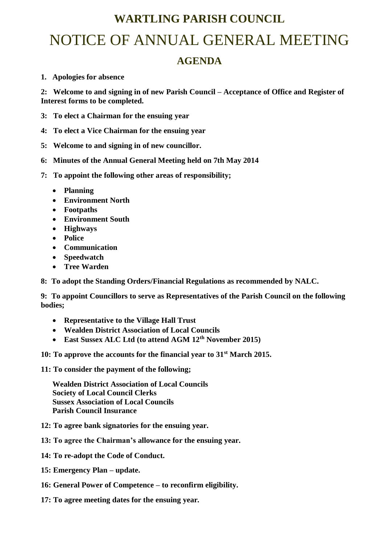## **WARTLING PARISH COUNCIL**

# NOTICE OF ANNUAL GENERAL MEETING

### **AGENDA**

### **1. Apologies for absence**

**2: Welcome to and signing in of new Parish Council – Acceptance of Office and Register of Interest forms to be completed.**

- **3: To elect a Chairman for the ensuing year**
- **4: To elect a Vice Chairman for the ensuing year**
- **5: Welcome to and signing in of new councillor.**
- **6: Minutes of the Annual General Meeting held on 7th May 2014**
- **7: To appoint the following other areas of responsibility;**
	- **Planning**
	- **Environment North**
	- **Footpaths**
	- **Environment South**
	- **Highways**
	- **Police**
	- **Communication**
	- **Speedwatch**
	- **Tree Warden**
- **8: To adopt the Standing Orders/Financial Regulations as recommended by NALC.**

**9: To appoint Councillors to serve as Representatives of the Parish Council on the following bodies;**

- **Representative to the Village Hall Trust**
- **Wealden District Association of Local Councils**
- **East Sussex ALC Ltd (to attend AGM 12th November 2015)**
- **10: To approve the accounts for the financial year to 31st March 2015.**
- **11: To consider the payment of the following;**

**Wealden District Association of Local Councils Society of Local Council Clerks Sussex Association of Local Councils Parish Council Insurance**

- **12: To agree bank signatories for the ensuing year.**
- **13: To agree the Chairman's allowance for the ensuing year.**
- **14: To re-adopt the Code of Conduct.**
- **15: Emergency Plan – update.**
- **16: General Power of Competence – to reconfirm eligibility.**
- **17: To agree meeting dates for the ensuing year.**